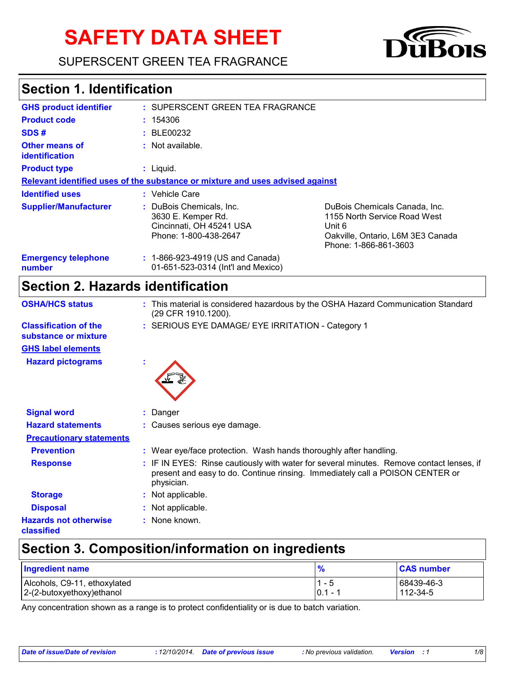# **SAFETY DATA SHEET**

SUPERSCENT GREEN TEA FRAGRANCE



# **Section 1. Identification**

| <b>GHS product identifier</b>           | : SUPERSCENT GREEN TEA FRAGRANCE                                                                    |                                                                                                                                       |
|-----------------------------------------|-----------------------------------------------------------------------------------------------------|---------------------------------------------------------------------------------------------------------------------------------------|
| <b>Product code</b>                     | : 154306                                                                                            |                                                                                                                                       |
| SDS#                                    | : BE00232                                                                                           |                                                                                                                                       |
| <b>Other means of</b><br>identification | $:$ Not available.                                                                                  |                                                                                                                                       |
| <b>Product type</b>                     | : Liquid.                                                                                           |                                                                                                                                       |
|                                         | Relevant identified uses of the substance or mixture and uses advised against                       |                                                                                                                                       |
| <b>Identified uses</b>                  | : Vehicle Care                                                                                      |                                                                                                                                       |
| <b>Supplier/Manufacturer</b>            | : DuBois Chemicals, Inc.<br>3630 E. Kemper Rd.<br>Cincinnati, OH 45241 USA<br>Phone: 1-800-438-2647 | DuBois Chemicals Canada, Inc.<br>1155 North Service Road West<br>Unit 6<br>Oakville, Ontario, L6M 3E3 Canada<br>Phone: 1-866-861-3603 |
| <b>Emergency telephone</b><br>number    | : 1-866-923-4919 (US and Canada)<br>01-651-523-0314 (Int'l and Mexico)                              |                                                                                                                                       |

# **Section 2. Hazards identification**

| <b>OSHA/HCS status</b>                               | : This material is considered hazardous by the OSHA Hazard Communication Standard<br>(29 CFR 1910.1200).                                                                                |
|------------------------------------------------------|-----------------------------------------------------------------------------------------------------------------------------------------------------------------------------------------|
| <b>Classification of the</b><br>substance or mixture | : SERIOUS EYE DAMAGE/ EYE IRRITATION - Category 1                                                                                                                                       |
| <b>GHS label elements</b>                            |                                                                                                                                                                                         |
| <b>Hazard pictograms</b>                             |                                                                                                                                                                                         |
| <b>Signal word</b>                                   | : Danger                                                                                                                                                                                |
| <b>Hazard statements</b>                             | : Causes serious eye damage.                                                                                                                                                            |
| <b>Precautionary statements</b>                      |                                                                                                                                                                                         |
| <b>Prevention</b>                                    | : Wear eye/face protection. Wash hands thoroughly after handling.                                                                                                                       |
| <b>Response</b>                                      | : IF IN EYES: Rinse cautiously with water for several minutes. Remove contact lenses, if<br>present and easy to do. Continue rinsing. Immediately call a POISON CENTER or<br>physician. |
| <b>Storage</b>                                       | : Not applicable.                                                                                                                                                                       |
| <b>Disposal</b>                                      | : Not applicable.                                                                                                                                                                       |
| <b>Hazards not otherwise</b><br><b>classified</b>    | : None known.                                                                                                                                                                           |

# **Section 3. Composition/information on ingredients**

| <b>Ingredient name</b>       | $\frac{9}{6}$ | <b>CAS number</b> |
|------------------------------|---------------|-------------------|
| Alcohols, C9-11, ethoxylated | - 5           | 68439-46-3        |
| 2-(2-butoxyethoxy) ethanol   | 0.1           | 112-34-5          |

Any concentration shown as a range is to protect confidentiality or is due to batch variation.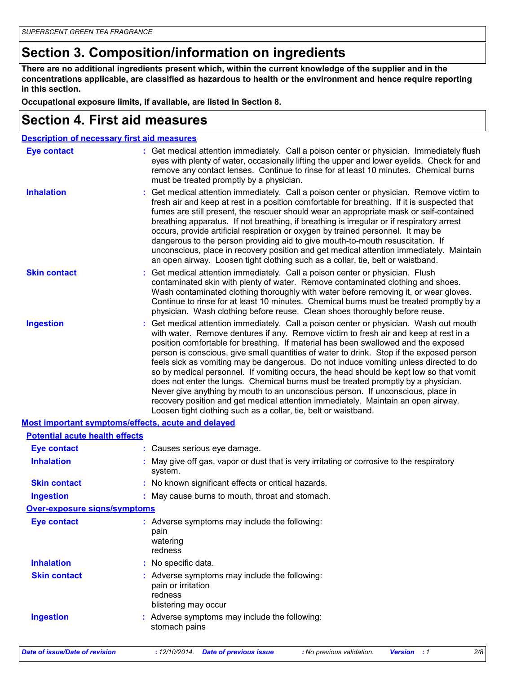# **Section 3. Composition/information on ingredients**

**There are no additional ingredients present which, within the current knowledge of the supplier and in the concentrations applicable, are classified as hazardous to health or the environment and hence require reporting in this section.**

**Occupational exposure limits, if available, are listed in Section 8.**

#### **Section 4. First aid measures**

| <b>Description of necessary first aid measures</b> |                                                                                                                                                                                                                                                                                                                                                                                                                                                                                                                                                                                                                                                                                                                                                                                                                                                                                     |
|----------------------------------------------------|-------------------------------------------------------------------------------------------------------------------------------------------------------------------------------------------------------------------------------------------------------------------------------------------------------------------------------------------------------------------------------------------------------------------------------------------------------------------------------------------------------------------------------------------------------------------------------------------------------------------------------------------------------------------------------------------------------------------------------------------------------------------------------------------------------------------------------------------------------------------------------------|
| <b>Eye contact</b>                                 | : Get medical attention immediately. Call a poison center or physician. Immediately flush<br>eyes with plenty of water, occasionally lifting the upper and lower eyelids. Check for and<br>remove any contact lenses. Continue to rinse for at least 10 minutes. Chemical burns<br>must be treated promptly by a physician.                                                                                                                                                                                                                                                                                                                                                                                                                                                                                                                                                         |
| <b>Inhalation</b>                                  | : Get medical attention immediately. Call a poison center or physician. Remove victim to<br>fresh air and keep at rest in a position comfortable for breathing. If it is suspected that<br>fumes are still present, the rescuer should wear an appropriate mask or self-contained<br>breathing apparatus. If not breathing, if breathing is irregular or if respiratory arrest<br>occurs, provide artificial respiration or oxygen by trained personnel. It may be<br>dangerous to the person providing aid to give mouth-to-mouth resuscitation. If<br>unconscious, place in recovery position and get medical attention immediately. Maintain<br>an open airway. Loosen tight clothing such as a collar, tie, belt or waistband.                                                                                                                                                  |
| <b>Skin contact</b>                                | : Get medical attention immediately. Call a poison center or physician. Flush<br>contaminated skin with plenty of water. Remove contaminated clothing and shoes.<br>Wash contaminated clothing thoroughly with water before removing it, or wear gloves.<br>Continue to rinse for at least 10 minutes. Chemical burns must be treated promptly by a<br>physician. Wash clothing before reuse. Clean shoes thoroughly before reuse.                                                                                                                                                                                                                                                                                                                                                                                                                                                  |
| <b>Ingestion</b>                                   | : Get medical attention immediately. Call a poison center or physician. Wash out mouth<br>with water. Remove dentures if any. Remove victim to fresh air and keep at rest in a<br>position comfortable for breathing. If material has been swallowed and the exposed<br>person is conscious, give small quantities of water to drink. Stop if the exposed person<br>feels sick as vomiting may be dangerous. Do not induce vomiting unless directed to do<br>so by medical personnel. If vomiting occurs, the head should be kept low so that vomit<br>does not enter the lungs. Chemical burns must be treated promptly by a physician.<br>Never give anything by mouth to an unconscious person. If unconscious, place in<br>recovery position and get medical attention immediately. Maintain an open airway.<br>Loosen tight clothing such as a collar, tie, belt or waistband. |
| Most important symptoms/effects, acute and delayed |                                                                                                                                                                                                                                                                                                                                                                                                                                                                                                                                                                                                                                                                                                                                                                                                                                                                                     |
| <b>Potential acute health effects</b>              |                                                                                                                                                                                                                                                                                                                                                                                                                                                                                                                                                                                                                                                                                                                                                                                                                                                                                     |
| <b>Eye contact</b>                                 | : Causes serious eye damage.                                                                                                                                                                                                                                                                                                                                                                                                                                                                                                                                                                                                                                                                                                                                                                                                                                                        |
| <b>Inhalation</b>                                  | : May give off gas, vapor or dust that is very irritating or corrosive to the respiratory<br>system.                                                                                                                                                                                                                                                                                                                                                                                                                                                                                                                                                                                                                                                                                                                                                                                |
| <b>Skin contact</b>                                | : No known significant effects or critical hazards.                                                                                                                                                                                                                                                                                                                                                                                                                                                                                                                                                                                                                                                                                                                                                                                                                                 |
| <b>Ingestion</b>                                   | : May cause burns to mouth, throat and stomach.                                                                                                                                                                                                                                                                                                                                                                                                                                                                                                                                                                                                                                                                                                                                                                                                                                     |
| <b>Over-exposure signs/symptoms</b>                |                                                                                                                                                                                                                                                                                                                                                                                                                                                                                                                                                                                                                                                                                                                                                                                                                                                                                     |
| <b>Eye contact</b>                                 | : Adverse symptoms may include the following:<br>pain<br>watering<br>redness                                                                                                                                                                                                                                                                                                                                                                                                                                                                                                                                                                                                                                                                                                                                                                                                        |
| <b>Inhalation</b>                                  | : No specific data.                                                                                                                                                                                                                                                                                                                                                                                                                                                                                                                                                                                                                                                                                                                                                                                                                                                                 |
| <b>Skin contact</b>                                | : Adverse symptoms may include the following:<br>pain or irritation<br>redness<br>blistering may occur                                                                                                                                                                                                                                                                                                                                                                                                                                                                                                                                                                                                                                                                                                                                                                              |
| <b>Ingestion</b>                                   | : Adverse symptoms may include the following:<br>stomach pains                                                                                                                                                                                                                                                                                                                                                                                                                                                                                                                                                                                                                                                                                                                                                                                                                      |
|                                                    |                                                                                                                                                                                                                                                                                                                                                                                                                                                                                                                                                                                                                                                                                                                                                                                                                                                                                     |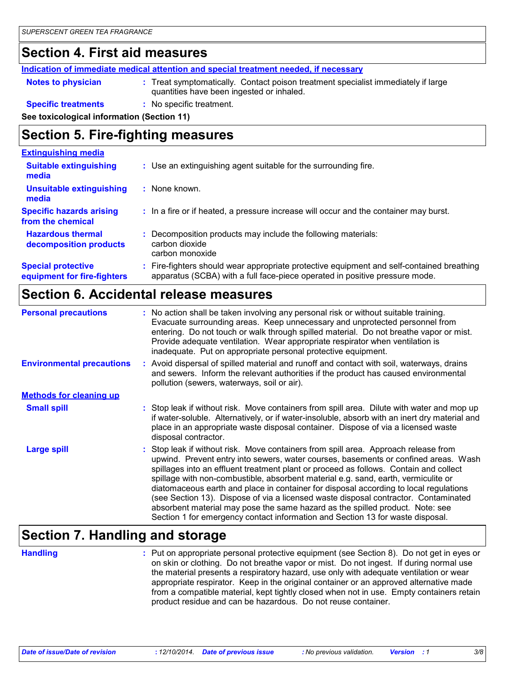#### **Section 4. First aid measures**

**Indication of immediate medical attention and special treatment needed, if necessary**

| <b>Notes to physician</b> | : Treat symptomatically. Contact poison treatment specialist immediately if large |  |
|---------------------------|-----------------------------------------------------------------------------------|--|
|                           | quantities have been ingested or inhaled.                                         |  |

#### **Specific treatments :** No specific treatment.

**See toxicological information (Section 11)**

#### **Section 5. Fire-fighting measures**

| <b>Extinguishing media</b>                               |                                                                                                                                                                        |  |
|----------------------------------------------------------|------------------------------------------------------------------------------------------------------------------------------------------------------------------------|--|
| <b>Suitable extinguishing</b><br>media                   | : Use an extinguishing agent suitable for the surrounding fire.                                                                                                        |  |
| <b>Unsuitable extinguishing</b><br>media                 | $:$ None known.                                                                                                                                                        |  |
| <b>Specific hazards arising</b><br>from the chemical     | : In a fire or if heated, a pressure increase will occur and the container may burst.                                                                                  |  |
| <b>Hazardous thermal</b><br>decomposition products       | : Decomposition products may include the following materials:<br>carbon dioxide<br>carbon monoxide                                                                     |  |
| <b>Special protective</b><br>equipment for fire-fighters | Fire-fighters should wear appropriate protective equipment and self-contained breathing<br>apparatus (SCBA) with a full face-piece operated in positive pressure mode. |  |

#### **Section 6. Accidental release measures**

| <b>Personal precautions</b>      | : No action shall be taken involving any personal risk or without suitable training.<br>Evacuate surrounding areas. Keep unnecessary and unprotected personnel from<br>entering. Do not touch or walk through spilled material. Do not breathe vapor or mist.<br>Provide adequate ventilation. Wear appropriate respirator when ventilation is<br>inadequate. Put on appropriate personal protective equipment.                                                                                                                                                                                                                                                                                            |
|----------------------------------|------------------------------------------------------------------------------------------------------------------------------------------------------------------------------------------------------------------------------------------------------------------------------------------------------------------------------------------------------------------------------------------------------------------------------------------------------------------------------------------------------------------------------------------------------------------------------------------------------------------------------------------------------------------------------------------------------------|
| <b>Environmental precautions</b> | : Avoid dispersal of spilled material and runoff and contact with soil, waterways, drains<br>and sewers. Inform the relevant authorities if the product has caused environmental<br>pollution (sewers, waterways, soil or air).                                                                                                                                                                                                                                                                                                                                                                                                                                                                            |
| <b>Methods for cleaning up</b>   |                                                                                                                                                                                                                                                                                                                                                                                                                                                                                                                                                                                                                                                                                                            |
| <b>Small spill</b>               | : Stop leak if without risk. Move containers from spill area. Dilute with water and mop up<br>if water-soluble. Alternatively, or if water-insoluble, absorb with an inert dry material and<br>place in an appropriate waste disposal container. Dispose of via a licensed waste<br>disposal contractor.                                                                                                                                                                                                                                                                                                                                                                                                   |
| <b>Large spill</b>               | Stop leak if without risk. Move containers from spill area. Approach release from<br>upwind. Prevent entry into sewers, water courses, basements or confined areas. Wash<br>spillages into an effluent treatment plant or proceed as follows. Contain and collect<br>spillage with non-combustible, absorbent material e.g. sand, earth, vermiculite or<br>diatomaceous earth and place in container for disposal according to local regulations<br>(see Section 13). Dispose of via a licensed waste disposal contractor. Contaminated<br>absorbent material may pose the same hazard as the spilled product. Note: see<br>Section 1 for emergency contact information and Section 13 for waste disposal. |

#### **Section 7. Handling and storage**

**Handling** entries a metal on appropriate personal protective equipment (see Section 8). Do not get in eyes or and on skin or clothing. Do not breathe vapor or mist. Do not ingest. If during normal use the material presents a respiratory hazard, use only with adequate ventilation or wear appropriate respirator. Keep in the original container or an approved alternative made from a compatible material, kept tightly closed when not in use. Empty containers retain product residue and can be hazardous. Do not reuse container.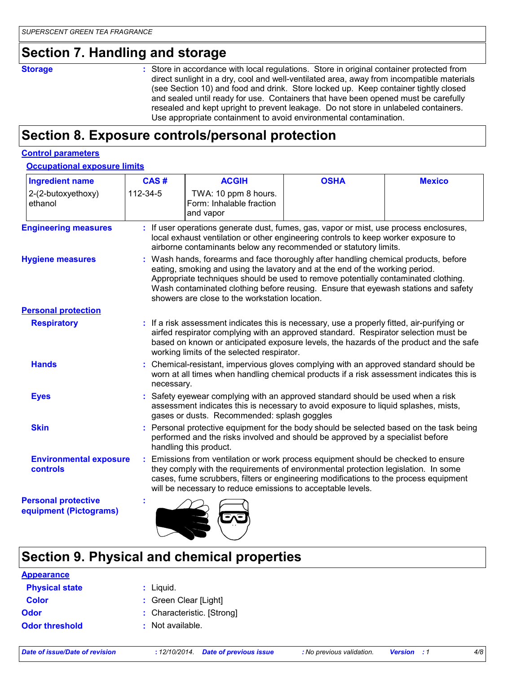#### **Section 7. Handling and storage**

**Storage** Store in accordance with local regulations. Store in original container protected from direct sunlight in a dry, cool and well-ventilated area, away from incompatible materials (see Section 10) and food and drink. Store locked up. Keep container tightly closed and sealed until ready for use. Containers that have been opened must be carefully resealed and kept upright to prevent leakage. Do not store in unlabeled containers. Use appropriate containment to avoid environmental contamination.

#### **Section 8. Exposure controls/personal protection**

#### **Control parameters**

#### **Occupational exposure limits**

| <b>Ingredient name</b>                               | CAS#       | <b>ACGIH</b>                                                                                                                                                                                                                                                                                                                                                                                    | <b>OSHA</b> | <b>Mexico</b> |
|------------------------------------------------------|------------|-------------------------------------------------------------------------------------------------------------------------------------------------------------------------------------------------------------------------------------------------------------------------------------------------------------------------------------------------------------------------------------------------|-------------|---------------|
| 2-(2-butoxyethoxy)<br>ethanol                        | 112-34-5   | TWA: 10 ppm 8 hours.<br>Form: Inhalable fraction<br>and vapor                                                                                                                                                                                                                                                                                                                                   |             |               |
| <b>Engineering measures</b>                          |            | If user operations generate dust, fumes, gas, vapor or mist, use process enclosures,<br>local exhaust ventilation or other engineering controls to keep worker exposure to<br>airborne contaminants below any recommended or statutory limits.                                                                                                                                                  |             |               |
| <b>Hygiene measures</b>                              |            | Wash hands, forearms and face thoroughly after handling chemical products, before<br>eating, smoking and using the lavatory and at the end of the working period.<br>Appropriate techniques should be used to remove potentially contaminated clothing.<br>Wash contaminated clothing before reusing. Ensure that eyewash stations and safety<br>showers are close to the workstation location. |             |               |
| <b>Personal protection</b>                           |            |                                                                                                                                                                                                                                                                                                                                                                                                 |             |               |
| <b>Respiratory</b>                                   |            | : If a risk assessment indicates this is necessary, use a properly fitted, air-purifying or<br>airfed respirator complying with an approved standard. Respirator selection must be<br>based on known or anticipated exposure levels, the hazards of the product and the safe<br>working limits of the selected respirator.                                                                      |             |               |
| <b>Hands</b>                                         | necessary. | Chemical-resistant, impervious gloves complying with an approved standard should be<br>worn at all times when handling chemical products if a risk assessment indicates this is                                                                                                                                                                                                                 |             |               |
| <b>Eyes</b>                                          |            | Safety eyewear complying with an approved standard should be used when a risk<br>assessment indicates this is necessary to avoid exposure to liquid splashes, mists,<br>gases or dusts. Recommended: splash goggles                                                                                                                                                                             |             |               |
| <b>Skin</b>                                          |            | : Personal protective equipment for the body should be selected based on the task being<br>performed and the risks involved and should be approved by a specialist before<br>handling this product.                                                                                                                                                                                             |             |               |
| <b>Environmental exposure</b><br>controls            | ÷.         | Emissions from ventilation or work process equipment should be checked to ensure<br>they comply with the requirements of environmental protection legislation. In some<br>cases, fume scrubbers, filters or engineering modifications to the process equipment<br>will be necessary to reduce emissions to acceptable levels.                                                                   |             |               |
| <b>Personal protective</b><br>equipment (Pictograms) |            |                                                                                                                                                                                                                                                                                                                                                                                                 |             |               |

#### **Section 9. Physical and chemical properties**

| <b>Appearance</b>     |                            |
|-----------------------|----------------------------|
| <b>Physical state</b> | : Liquid.                  |
| <b>Color</b>          | : Green Clear [Light]      |
| <b>Odor</b>           | : Characteristic. [Strong] |
| <b>Odor threshold</b> | : Not available.           |
|                       |                            |

 $\blacksquare$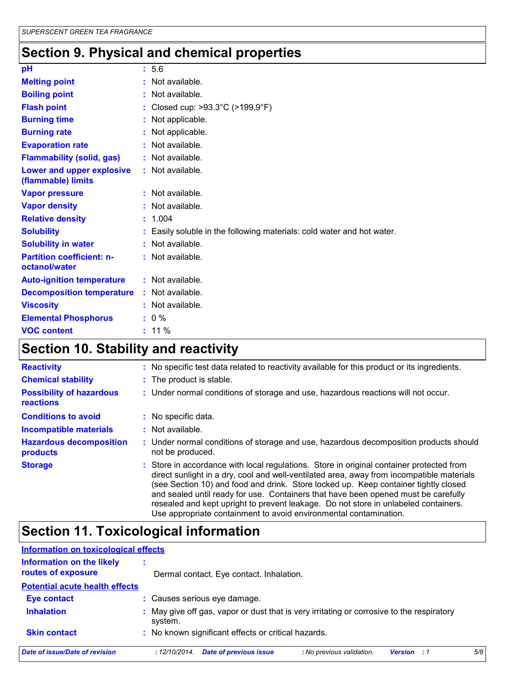# **Section 9. Physical and chemical properties**

| pH                                                | : 5.6                                                                  |
|---------------------------------------------------|------------------------------------------------------------------------|
| <b>Melting point</b>                              | : Not available.                                                       |
| <b>Boiling point</b>                              | : Not available.                                                       |
| <b>Flash point</b>                                | : Closed cup: >93.3°C (>199.9°F)                                       |
| <b>Burning time</b>                               | : Not applicable.                                                      |
| <b>Burning rate</b>                               | : Not applicable.                                                      |
| <b>Evaporation rate</b>                           | : Not available.                                                       |
| <b>Flammability (solid, gas)</b>                  | : Not available.                                                       |
| Lower and upper explosive<br>(flammable) limits   | : Not available.                                                       |
| <b>Vapor pressure</b>                             | : Not available.                                                       |
| <b>Vapor density</b>                              | : Not available.                                                       |
| <b>Relative density</b>                           | : 1.004                                                                |
| <b>Solubility</b>                                 | : Easily soluble in the following materials: cold water and hot water. |
| <b>Solubility in water</b>                        | : Not available.                                                       |
| <b>Partition coefficient: n-</b><br>octanol/water | : Not available.                                                       |
| <b>Auto-ignition temperature</b>                  | : Not available.                                                       |
| <b>Decomposition temperature</b>                  | : Not available.                                                       |
| <b>Viscosity</b>                                  | $:$ Not available.                                                     |
| <b>Elemental Phosphorus</b>                       | $: 0 \%$                                                               |
| <b>VOC content</b>                                | $: 11 \%$                                                              |

# **Section 10. Stability and reactivity**

| <b>Reactivity</b>                            | : No specific test data related to reactivity available for this product or its ingredients.                                                                                                                                                                                                                                                                                                                                                                                                                                   |
|----------------------------------------------|--------------------------------------------------------------------------------------------------------------------------------------------------------------------------------------------------------------------------------------------------------------------------------------------------------------------------------------------------------------------------------------------------------------------------------------------------------------------------------------------------------------------------------|
| <b>Chemical stability</b>                    | : The product is stable.                                                                                                                                                                                                                                                                                                                                                                                                                                                                                                       |
| <b>Possibility of hazardous</b><br>reactions | : Under normal conditions of storage and use, hazardous reactions will not occur.                                                                                                                                                                                                                                                                                                                                                                                                                                              |
| <b>Conditions to avoid</b>                   | : No specific data.                                                                                                                                                                                                                                                                                                                                                                                                                                                                                                            |
| <b>Incompatible materials</b>                | $:$ Not available.                                                                                                                                                                                                                                                                                                                                                                                                                                                                                                             |
| <b>Hazardous decomposition</b><br>products   | : Under normal conditions of storage and use, hazardous decomposition products should<br>not be produced.                                                                                                                                                                                                                                                                                                                                                                                                                      |
| <b>Storage</b>                               | : Store in accordance with local regulations. Store in original container protected from<br>direct sunlight in a dry, cool and well-ventilated area, away from incompatible materials<br>(see Section 10) and food and drink. Store locked up. Keep container tightly closed<br>and sealed until ready for use. Containers that have been opened must be carefully<br>resealed and kept upright to prevent leakage. Do not store in unlabeled containers.<br>Use appropriate containment to avoid environmental contamination. |

# **Section 11. Toxicological information**

| <b>Information on toxicological effects</b>            |                                                                                                            |
|--------------------------------------------------------|------------------------------------------------------------------------------------------------------------|
| <b>Information on the likely</b><br>routes of exposure | Dermal contact. Eye contact. Inhalation.                                                                   |
| <b>Potential acute health effects</b>                  |                                                                                                            |
| <b>Eye contact</b><br><b>Inhalation</b>                | : Causes serious eye damage.                                                                               |
|                                                        | : May give off gas, vapor or dust that is very irritating or corrosive to the respiratory<br>system.       |
| <b>Skin contact</b>                                    | : No known significant effects or critical hazards.                                                        |
| Date of issue/Date of revision                         | <b>Date of previous issue</b><br>5/8<br>: No previous validation.<br>:12/10/2014.<br><b>Version</b><br>- 1 |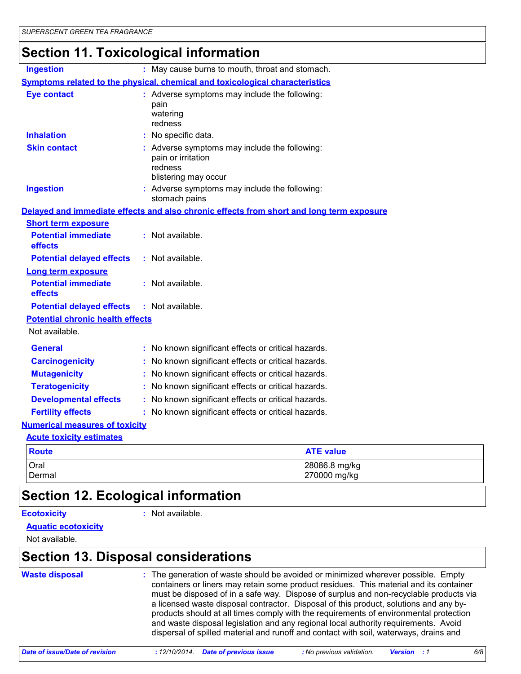# **Section 11. Toxicological information**

| <b>Ingestion</b>                        | : May cause burns to mouth, throat and stomach.                                                        |                               |
|-----------------------------------------|--------------------------------------------------------------------------------------------------------|-------------------------------|
|                                         | Symptoms related to the physical, chemical and toxicological characteristics                           |                               |
| <b>Eye contact</b>                      | : Adverse symptoms may include the following:<br>pain<br>watering<br>redness                           |                               |
| <b>Inhalation</b>                       | : No specific data.                                                                                    |                               |
| <b>Skin contact</b>                     | : Adverse symptoms may include the following:<br>pain or irritation<br>redness<br>blistering may occur |                               |
| <b>Ingestion</b>                        | : Adverse symptoms may include the following:<br>stomach pains                                         |                               |
|                                         | Delayed and immediate effects and also chronic effects from short and long term exposure               |                               |
| <b>Short term exposure</b>              |                                                                                                        |                               |
| <b>Potential immediate</b><br>effects   | : Not available.                                                                                       |                               |
| <b>Potential delayed effects</b>        | $:$ Not available.                                                                                     |                               |
| <b>Long term exposure</b>               |                                                                                                        |                               |
| <b>Potential immediate</b><br>effects   | : Not available.                                                                                       |                               |
| <b>Potential delayed effects</b>        | : Not available.                                                                                       |                               |
| <b>Potential chronic health effects</b> |                                                                                                        |                               |
| Not available.                          |                                                                                                        |                               |
| <b>General</b>                          | : No known significant effects or critical hazards.                                                    |                               |
| <b>Carcinogenicity</b>                  | : No known significant effects or critical hazards.                                                    |                               |
| <b>Mutagenicity</b>                     | No known significant effects or critical hazards.                                                      |                               |
| <b>Teratogenicity</b>                   | : No known significant effects or critical hazards.                                                    |                               |
| <b>Developmental effects</b>            | : No known significant effects or critical hazards.                                                    |                               |
| <b>Fertility effects</b>                | : No known significant effects or critical hazards.                                                    |                               |
| <b>Numerical measures of toxicity</b>   |                                                                                                        |                               |
| <b>Acute toxicity estimates</b>         |                                                                                                        |                               |
| <b>Route</b>                            |                                                                                                        | <b>ATE value</b>              |
| Oral<br>Dermal                          |                                                                                                        | 28086.8 mg/kg<br>270000 mg/kg |

# **Section 12. Ecological information**

#### **Ecotoxicity :**

: Not available.

**Aquatic ecotoxicity**

Not available.

#### **Section 13. Disposal considerations**

| <b>Waste disposal</b> | : The generation of waste should be avoided or minimized wherever possible. Empty<br>containers or liners may retain some product residues. This material and its container<br>must be disposed of in a safe way. Dispose of surplus and non-recyclable products via<br>a licensed waste disposal contractor. Disposal of this product, solutions and any by-<br>products should at all times comply with the requirements of environmental protection |
|-----------------------|--------------------------------------------------------------------------------------------------------------------------------------------------------------------------------------------------------------------------------------------------------------------------------------------------------------------------------------------------------------------------------------------------------------------------------------------------------|
|                       | and waste disposal legislation and any regional local authority requirements. Avoid<br>dispersal of spilled material and runoff and contact with soil, waterways, drains and                                                                                                                                                                                                                                                                           |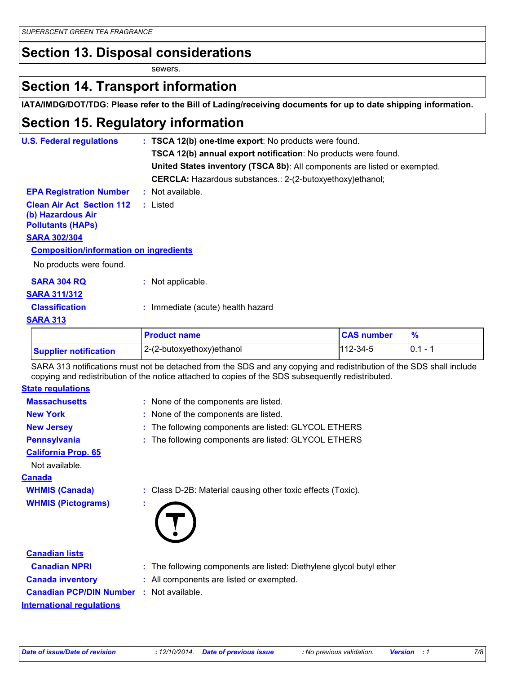#### **Section 13. Disposal considerations**

sewers.

#### **Section 14. Transport information**

**IATA/IMDG/DOT/TDG: Please refer to the Bill of Lading/receiving documents for up to date shipping information.**

#### **Section 15. Regulatory information**

| <b>U.S. Federal regulations</b>                                                   | : TSCA 12(b) one-time export: No products were found.                     |            |              |
|-----------------------------------------------------------------------------------|---------------------------------------------------------------------------|------------|--------------|
|                                                                                   | TSCA 12(b) annual export notification: No products were found.            |            |              |
|                                                                                   | United States inventory (TSCA 8b): All components are listed or exempted. |            |              |
|                                                                                   | <b>CERCLA:</b> Hazardous substances.: 2-(2-butoxyethoxy)ethanol;          |            |              |
| <b>EPA Registration Number</b>                                                    | : Not available.                                                          |            |              |
| <b>Clean Air Act Section 112</b><br>(b) Hazardous Air<br><b>Pollutants (HAPS)</b> | : Listed                                                                  |            |              |
| <b>SARA 302/304</b>                                                               |                                                                           |            |              |
| <b>Composition/information on ingredients</b>                                     |                                                                           |            |              |
| No products were found.                                                           |                                                                           |            |              |
| <b>SARA 304 RQ</b>                                                                | : Not applicable.                                                         |            |              |
| <b>SARA 311/312</b>                                                               |                                                                           |            |              |
| <b>Classification</b>                                                             | : Immediate (acute) health hazard                                         |            |              |
| <b>SARA 313</b>                                                                   |                                                                           |            |              |
|                                                                                   | <b>Droduct name</b>                                                       | CAS number | $\mathbf{0}$ |

|                              | <b>Product name</b>           | <b>CAS number</b> |               |
|------------------------------|-------------------------------|-------------------|---------------|
| <b>Supplier notification</b> | $ 2-(2-butoxyethoxy)e$ thanol | $112 - 34 - 5$    | 0.1<br>$\sim$ |

SARA 313 notifications must not be detached from the SDS and any copying and redistribution of the SDS shall include copying and redistribution of the notice attached to copies of the SDS subsequently redistributed.

| <b>State regulations</b>   |                                                             |
|----------------------------|-------------------------------------------------------------|
| <b>Massachusetts</b>       | : None of the components are listed.                        |
| <b>New York</b>            | : None of the components are listed.                        |
| <b>New Jersey</b>          | : The following components are listed: GLYCOL ETHERS        |
| <b>Pennsylvania</b>        | : The following components are listed: GLYCOL ETHERS        |
| <b>California Prop. 65</b> |                                                             |
| Not available.             |                                                             |
| <u>Canada</u>              |                                                             |
| <b>WHMIS (Canada)</b>      | : Class D-2B: Material causing other toxic effects (Toxic). |
| <b>WHMIS (Pictograms)</b>  | ×.                                                          |
|                            |                                                             |
|                            |                                                             |
|                            |                                                             |

| <b>Canadian lists</b>                           |                                                                      |
|-------------------------------------------------|----------------------------------------------------------------------|
| <b>Canadian NPRI</b>                            | : The following components are listed: Diethylene glycol butyl ether |
| <b>Canada inventory</b>                         | : All components are listed or exempted.                             |
| <b>Canadian PCP/DIN Number : Not available.</b> |                                                                      |
| <b>International regulations</b>                |                                                                      |